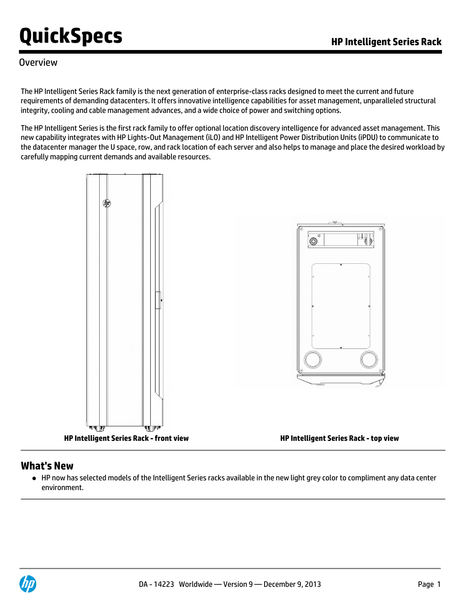#### **Overview**

The HP Intelligent Series Rack family is the next generation of enterprise-class racks designed to meet the current and future requirements of demanding datacenters. It offers innovative intelligence capabilities for asset management, unparalleled structural integrity, cooling and cable management advances, and a wide choice of power and switching options.

The HP Intelligent Series is the first rack family to offer optional location discovery intelligence for advanced asset management. This new capability integrates with HP Lights-Out Management (iLO) and HP Intelligent Power Distribution Units (iPDU) to communicate to the datacenter manager the U space, row, and rack location of each server and also helps to manage and place the desired workload by carefully mapping current demands and available resources.



#### **What's New**

HP now has selected models of the Intelligent Series racks available in the new light grey color to compliment any data center environment.

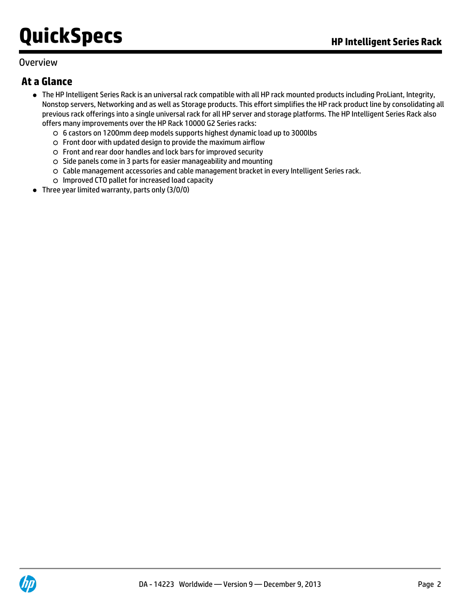#### **Overview**

### **At a Glance**

- The HP Intelligent Series Rack is an universal rack compatible with all HP rack mounted products including ProLiant, Integrity, Nonstop servers, Networking and as well as Storage products. This effort simplifies the HP rack product line by consolidating all previous rack offerings into a single universal rack for all HP server and storage platforms. The HP Intelligent Series Rack also offers many improvements over the HP Rack 10000 G2 Series racks:
	- 6 castors on 1200mm deep models supports highest dynamic load up to 3000lbs
	- Front door with updated design to provide the maximum airflow
	- Front and rear door handles and lock bars for improved security
	- $\circ$  Side panels come in 3 parts for easier manageability and mounting
	- Cable management accessories and cable management bracket in every Intelligent Series rack.
	- Improved CTO pallet for increased load capacity
- Three year limited warranty, parts only (3/0/0)

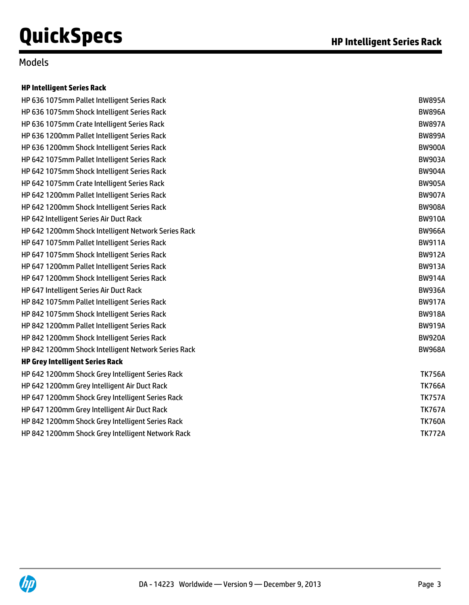### Models

#### **HP Intelligent Series Rack**

| HP 636 1075mm Pallet Intelligent Series Rack        | <b>BW895A</b> |
|-----------------------------------------------------|---------------|
| HP 636 1075mm Shock Intelligent Series Rack         | <b>BW896A</b> |
| HP 636 1075mm Crate Intelligent Series Rack         | <b>BW897A</b> |
| HP 636 1200mm Pallet Intelligent Series Rack        | <b>BW899A</b> |
| HP 636 1200mm Shock Intelligent Series Rack         | <b>BW900A</b> |
| HP 642 1075mm Pallet Intelligent Series Rack        | <b>BW903A</b> |
| HP 642 1075mm Shock Intelligent Series Rack         | <b>BW904A</b> |
| HP 642 1075mm Crate Intelligent Series Rack         | <b>BW905A</b> |
| HP 642 1200mm Pallet Intelligent Series Rack        | <b>BW907A</b> |
| HP 642 1200mm Shock Intelligent Series Rack         | <b>BW908A</b> |
| HP 642 Intelligent Series Air Duct Rack             | <b>BW910A</b> |
| HP 642 1200mm Shock Intelligent Network Series Rack | <b>BW966A</b> |
| HP 647 1075mm Pallet Intelligent Series Rack        | <b>BW911A</b> |
| HP 647 1075mm Shock Intelligent Series Rack         | <b>BW912A</b> |
| HP 647 1200mm Pallet Intelligent Series Rack        | <b>BW913A</b> |
| HP 647 1200mm Shock Intelligent Series Rack         | <b>BW914A</b> |
| HP 647 Intelligent Series Air Duct Rack             | <b>BW936A</b> |
| HP 842 1075mm Pallet Intelligent Series Rack        | <b>BW917A</b> |
| HP 842 1075mm Shock Intelligent Series Rack         | <b>BW918A</b> |
| HP 842 1200mm Pallet Intelligent Series Rack        | <b>BW919A</b> |
| HP 842 1200mm Shock Intelligent Series Rack         | <b>BW920A</b> |
| HP 842 1200mm Shock Intelligent Network Series Rack | <b>BW968A</b> |
| <b>HP Grey Intelligent Series Rack</b>              |               |
| HP 642 1200mm Shock Grey Intelligent Series Rack    | <b>TK756A</b> |
| HP 642 1200mm Grey Intelligent Air Duct Rack        | <b>TK766A</b> |
| HP 647 1200mm Shock Grey Intelligent Series Rack    | <b>TK757A</b> |
| HP 647 1200mm Grey Intelligent Air Duct Rack        | <b>TK767A</b> |
| HP 842 1200mm Shock Grey Intelligent Series Rack    | <b>TK760A</b> |
| HP 842 1200mm Shock Grey Intelligent Network Rack   | <b>TK772A</b> |
|                                                     |               |

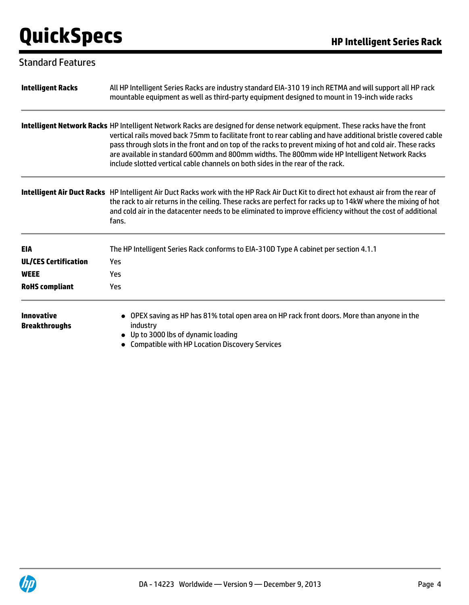### Standard Features

| <b>Intelligent Racks</b>           | All HP Intelligent Series Racks are industry standard EIA-310 19 inch RETMA and will support all HP rack<br>mountable equipment as well as third-party equipment designed to mount in 19-inch wide racks                                                                                                                                                                                                                                                                                                                                     |
|------------------------------------|----------------------------------------------------------------------------------------------------------------------------------------------------------------------------------------------------------------------------------------------------------------------------------------------------------------------------------------------------------------------------------------------------------------------------------------------------------------------------------------------------------------------------------------------|
|                                    | Intelligent Network Racks HP Intelligent Network Racks are designed for dense network equipment. These racks have the front<br>vertical rails moved back 75mm to facilitate front to rear cabling and have additional bristle covered cable<br>pass through slots in the front and on top of the racks to prevent mixing of hot and cold air. These racks<br>are available in standard 600mm and 800mm widths. The 800mm wide HP Intelligent Network Racks<br>include slotted vertical cable channels on both sides in the rear of the rack. |
|                                    | Intelligent Air Duct Racks HP Intelligent Air Duct Racks work with the HP Rack Air Duct Kit to direct hot exhaust air from the rear of<br>the rack to air returns in the ceiling. These racks are perfect for racks up to 14kW where the mixing of hot<br>and cold air in the datacenter needs to be eliminated to improve efficiency without the cost of additional<br>fans.                                                                                                                                                                |
| <b>EIA</b>                         | The HP Intelligent Series Rack conforms to EIA-310D Type A cabinet per section 4.1.1                                                                                                                                                                                                                                                                                                                                                                                                                                                         |
| <b>UL/CES Certification</b>        | Yes                                                                                                                                                                                                                                                                                                                                                                                                                                                                                                                                          |
| <b>WEEE</b>                        | Yes                                                                                                                                                                                                                                                                                                                                                                                                                                                                                                                                          |
| <b>RoHS</b> compliant              | Yes                                                                                                                                                                                                                                                                                                                                                                                                                                                                                                                                          |
| Innovative<br><b>Breakthroughs</b> | OPEX saving as HP has 81% total open area on HP rack front doors. More than anyone in the<br>industry<br>• Up to 3000 lbs of dynamic loading<br><b>Compatible with HP Location Discovery Services</b>                                                                                                                                                                                                                                                                                                                                        |

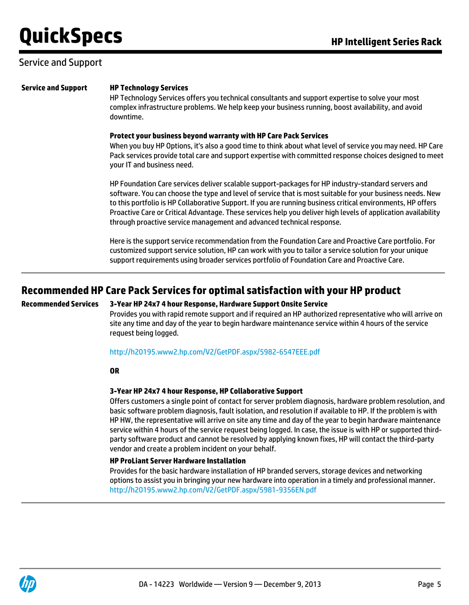#### Service and Support

#### **Service and Support HP Technology Services**

HP Technology Services offers you technical consultants and support expertise to solve your most complex infrastructure problems. We help keep your business running, boost availability, and avoid downtime.

#### **Protect your business beyond warranty with HP Care Pack Services**

When you buy HP Options, it's also a good time to think about what level of service you may need. HP Care Pack services provide total care and support expertise with committed response choices designed to meet your IT and business need.

HP Foundation Care services deliver scalable support-packages for HP industry-standard servers and software. You can choose the type and level of service that is most suitable for your business needs. New to this portfolio is HP Collaborative Support. If you are running business critical environments, HP offers Proactive Care or Critical Advantage. These services help you deliver high levels of application availability through proactive service management and advanced technical response.

Here is the support service recommendation from the Foundation Care and Proactive Care portfolio. For customized support service solution, HP can work with you to tailor a service solution for your unique support requirements using broader services portfolio of Foundation Care and Proactive Care.

### **Recommended HP Care Pack Services for optimal satisfaction with your HP product**

#### **Recommended Services 3-Year HP 24x7 4 hour Response, Hardware Support Onsite Service**

Provides you with rapid remote support and if required an HP authorized representative who will arrive on site any time and day of the year to begin hardware maintenance service within 4 hours of the service request being logged.

<http://h20195.www2.hp.com/V2/GetPDF.aspx/5982-6547EEE.pdf>

#### **OR**

#### **3-Year HP 24x7 4 hour Response, HP Collaborative Support**

Offers customers a single point of contact for server problem diagnosis, hardware problem resolution, and basic software problem diagnosis, fault isolation, and resolution if available to HP. If the problem is with HP HW, the representative will arrive on site any time and day of the year to begin hardware maintenance service within 4 hours of the service request being logged. In case, the issue is with HP or supported thirdparty software product and cannot be resolved by applying known fixes, HP will contact the third-party vendor and create a problem incident on your behalf.

#### **HP ProLiant Server Hardware Installation**

Provides for the basic hardware installation of HP branded servers, storage devices and networking options to assist you in bringing your new hardware into operation in a timely and professional manner. <http://h20195.www2.hp.com/V2/GetPDF.aspx/5981-9356EN.pdf>

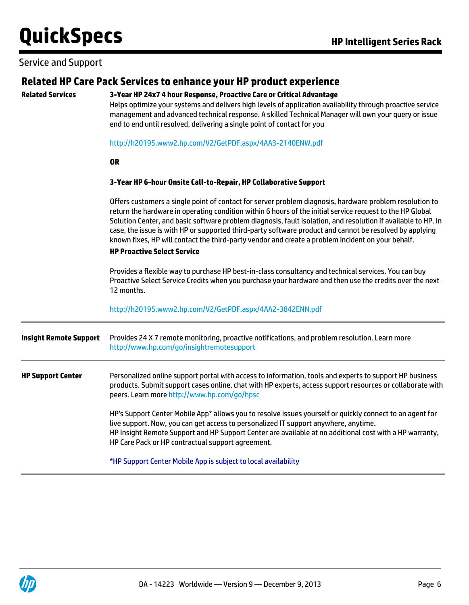#### Service and Support

### **Related HP Care Pack Services to enhance your HP product experience**

#### **Related Services 3-Year HP 24x7 4 hour Response, Proactive Care or Critical Advantage**

Helps optimize your systems and delivers high levels of application availability through proactive service management and advanced technical response. A skilled Technical Manager will own your query or issue end to end until resolved, delivering a single point of contact for you

#### <http://h20195.www2.hp.com/V2/GetPDF.aspx/4AA3-2140ENW.pdf>

#### **OR**

#### **3-Year HP 6-hour Onsite Call-to-Repair, HP Collaborative Support**

Offers customers a single point of contact for server problem diagnosis, hardware problem resolution to return the hardware in operating condition within 6 hours of the initial service request to the HP Global Solution Center, and basic software problem diagnosis, fault isolation, and resolution if available to HP. In case, the issue is with HP or supported third-party software product and cannot be resolved by applying known fixes, HP will contact the third-party vendor and create a problem incident on your behalf.

#### **HP Proactive Select Service**

Provides a flexible way to purchase HP best-in-class consultancy and technical services. You can buy Proactive Select Service Credits when you purchase your hardware and then use the credits over the next 12 months.

#### <http://h20195.www2.hp.com/V2/GetPDF.aspx/4AA2-3842ENN.pdf>

| <b>Insight Remote Support</b> | Provides 24 X 7 remote monitoring, proactive notifications, and problem resolution. Learn more<br>http://www.hp.com/go/insightremotesupport                                                                                                                                                                                                                     |
|-------------------------------|-----------------------------------------------------------------------------------------------------------------------------------------------------------------------------------------------------------------------------------------------------------------------------------------------------------------------------------------------------------------|
| <b>HP Support Center</b>      | Personalized online support portal with access to information, tools and experts to support HP business<br>products. Submit support cases online, chat with HP experts, access support resources or collaborate with<br>peers. Learn more http://www.hp.com/go/hpsc                                                                                             |
|                               | HP's Support Center Mobile App* allows you to resolve issues yourself or quickly connect to an agent for<br>live support. Now, you can get access to personalized IT support anywhere, anytime.<br>HP Insight Remote Support and HP Support Center are available at no additional cost with a HP warranty,<br>HP Care Pack or HP contractual support agreement. |
|                               | *HP Support Center Mobile App is subject to local availability                                                                                                                                                                                                                                                                                                  |

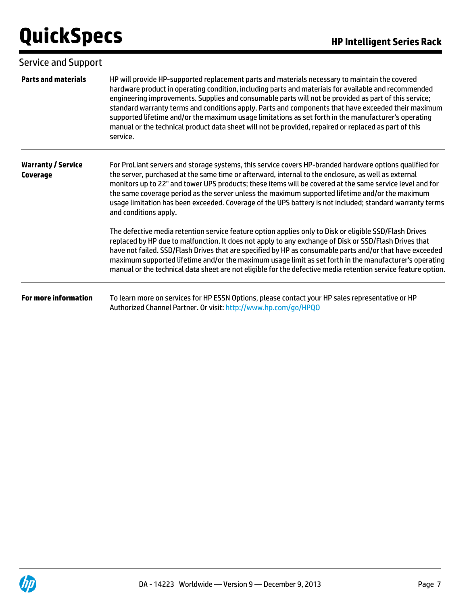| Service and Support                   |                                                                                                                                                                                                                                                                                                                                                                                                                                                                                                                                                                                                                                                     |
|---------------------------------------|-----------------------------------------------------------------------------------------------------------------------------------------------------------------------------------------------------------------------------------------------------------------------------------------------------------------------------------------------------------------------------------------------------------------------------------------------------------------------------------------------------------------------------------------------------------------------------------------------------------------------------------------------------|
| <b>Parts and materials</b>            | HP will provide HP-supported replacement parts and materials necessary to maintain the covered<br>hardware product in operating condition, including parts and materials for available and recommended<br>engineering improvements. Supplies and consumable parts will not be provided as part of this service;<br>standard warranty terms and conditions apply. Parts and components that have exceeded their maximum<br>supported lifetime and/or the maximum usage limitations as set forth in the manufacturer's operating<br>manual or the technical product data sheet will not be provided, repaired or replaced as part of this<br>service. |
| <b>Warranty / Service</b><br>Coverage | For ProLiant servers and storage systems, this service covers HP-branded hardware options qualified for<br>the server, purchased at the same time or afterward, internal to the enclosure, as well as external<br>monitors up to 22" and tower UPS products; these items will be covered at the same service level and for<br>the same coverage period as the server unless the maximum supported lifetime and/or the maximum<br>usage limitation has been exceeded. Coverage of the UPS battery is not included; standard warranty terms<br>and conditions apply.                                                                                  |
|                                       | The defective media retention service feature option applies only to Disk or eligible SSD/Flash Drives<br>replaced by HP due to malfunction. It does not apply to any exchange of Disk or SSD/Flash Drives that<br>have not failed. SSD/Flash Drives that are specified by HP as consumable parts and/or that have exceeded<br>maximum supported lifetime and/or the maximum usage limit as set forth in the manufacturer's operating<br>manual or the technical data sheet are not eligible for the defective media retention service feature option.                                                                                              |
| <b>For more information</b>           | To learn more on services for HP ESSN Options, please contact your HP sales representative or HP<br>Authorized Channel Partner. Or visit: http://www.hp.com/go/HPQO                                                                                                                                                                                                                                                                                                                                                                                                                                                                                 |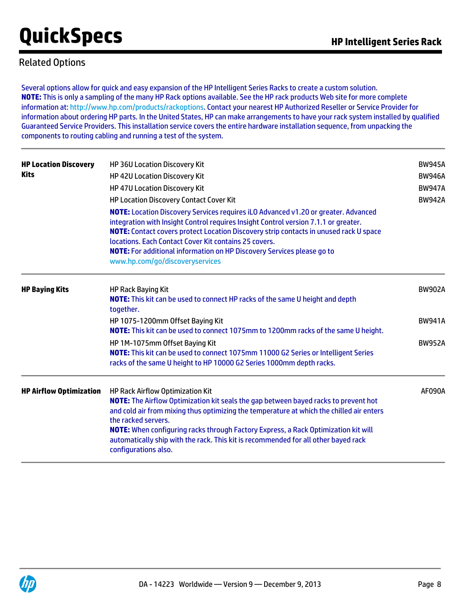### Related Options

Several options allow for quick and easy expansion of the HP Intelligent Series Racks to create a custom solution. **NOTE:** This is only a sampling of the many HP Rack options available. See the HP rack products Web site for more complete information at:<http://www.hp.com/products/rackoptions>. Contact your nearest HP Authorized Reseller or Service Provider for information about ordering HP parts. In the United States, HP can make arrangements to have your rack system installed by qualified Guaranteed Service Providers. This installation service covers the entire hardware installation sequence, from unpacking the components to routing cabling and running a test of the system.

| <b>HP Location Discovery</b><br><b>Kits</b> | HP 36U Location Discovery Kit<br><b>HP 42U Location Discovery Kit</b><br><b>HP 47U Location Discovery Kit</b><br><b>HP Location Discovery Contact Cover Kit</b><br><b>NOTE:</b> Location Discovery Services requires iLO Advanced v1.20 or greater. Advanced<br>integration with Insight Control requires Insight Control version 7.1.1 or greater.<br>NOTE: Contact covers protect Location Discovery strip contacts in unused rack U space<br>locations. Each Contact Cover Kit contains 25 covers.<br>NOTE: For additional information on HP Discovery Services please go to<br>www.hp.com/go/discoveryservices | <b>BW945A</b><br><b>BW946A</b><br><b>BW947A</b><br><b>BW942A</b> |
|---------------------------------------------|--------------------------------------------------------------------------------------------------------------------------------------------------------------------------------------------------------------------------------------------------------------------------------------------------------------------------------------------------------------------------------------------------------------------------------------------------------------------------------------------------------------------------------------------------------------------------------------------------------------------|------------------------------------------------------------------|
| <b>HP Baying Kits</b>                       | <b>HP Rack Baying Kit</b><br>NOTE: This kit can be used to connect HP racks of the same U height and depth<br>together.                                                                                                                                                                                                                                                                                                                                                                                                                                                                                            | <b>BW902A</b>                                                    |
|                                             | HP 1075-1200mm Offset Baying Kit<br>NOTE: This kit can be used to connect 1075mm to 1200mm racks of the same U height.                                                                                                                                                                                                                                                                                                                                                                                                                                                                                             | <b>BW941A</b>                                                    |
|                                             | HP 1M-1075mm Offset Baying Kit<br>NOTE: This kit can be used to connect 1075mm 11000 G2 Series or Intelligent Series<br>racks of the same U height to HP 10000 G2 Series 1000mm depth racks.                                                                                                                                                                                                                                                                                                                                                                                                                       | <b>BW952A</b>                                                    |
| <b>HP Airflow Optimization</b>              | <b>HP Rack Airflow Optimization Kit</b><br><b>NOTE:</b> The Airflow Optimization kit seals the gap between bayed racks to prevent hot<br>and cold air from mixing thus optimizing the temperature at which the chilled air enters<br>the racked servers.<br><b>NOTE:</b> When configuring racks through Factory Express, a Rack Optimization kit will<br>automatically ship with the rack. This kit is recommended for all other bayed rack<br>configurations also.                                                                                                                                                | <b>AF090A</b>                                                    |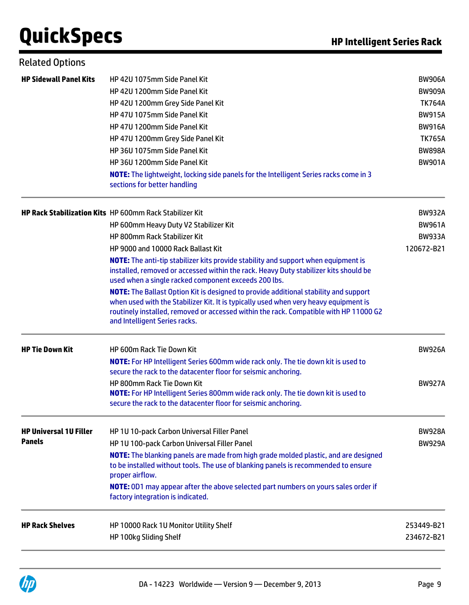| <b>Related Options</b>        |                                                                                                                                                                                                                                                                                                               |               |
|-------------------------------|---------------------------------------------------------------------------------------------------------------------------------------------------------------------------------------------------------------------------------------------------------------------------------------------------------------|---------------|
| <b>HP Sidewall Panel Kits</b> | HP 42U 1075mm Side Panel Kit                                                                                                                                                                                                                                                                                  | <b>BW906A</b> |
|                               | HP 42U 1200mm Side Panel Kit                                                                                                                                                                                                                                                                                  | <b>BW909A</b> |
|                               | HP 42U 1200mm Grey Side Panel Kit                                                                                                                                                                                                                                                                             | <b>TK764A</b> |
|                               | HP 47U 1075mm Side Panel Kit                                                                                                                                                                                                                                                                                  | <b>BW915A</b> |
|                               | HP 47U 1200mm Side Panel Kit                                                                                                                                                                                                                                                                                  | <b>BW916A</b> |
|                               | HP 47U 1200mm Grey Side Panel Kit                                                                                                                                                                                                                                                                             | <b>TK765A</b> |
|                               | HP 36U 1075mm Side Panel Kit                                                                                                                                                                                                                                                                                  | <b>BW898A</b> |
|                               | HP 36U 1200mm Side Panel Kit                                                                                                                                                                                                                                                                                  | <b>BW901A</b> |
|                               | NOTE: The lightweight, locking side panels for the Intelligent Series racks come in 3<br>sections for better handling                                                                                                                                                                                         |               |
|                               | <b>HP Rack Stabilization Kits</b> HP 600mm Rack Stabilizer Kit                                                                                                                                                                                                                                                | <b>BW932A</b> |
|                               | HP 600mm Heavy Duty V2 Stabilizer Kit                                                                                                                                                                                                                                                                         | <b>BW961A</b> |
|                               | HP 800mm Rack Stabilizer Kit                                                                                                                                                                                                                                                                                  | <b>BW933A</b> |
|                               | HP 9000 and 10000 Rack Ballast Kit                                                                                                                                                                                                                                                                            | 120672-B21    |
|                               | NOTE: The anti-tip stabilizer kits provide stability and support when equipment is<br>installed, removed or accessed within the rack. Heavy Duty stabilizer kits should be<br>used when a single racked component exceeds 200 lbs.                                                                            |               |
|                               | <b>NOTE:</b> The Ballast Option Kit is designed to provide additional stability and support<br>when used with the Stabilizer Kit. It is typically used when very heavy equipment is<br>routinely installed, removed or accessed within the rack. Compatible with HP 11000 G2<br>and Intelligent Series racks. |               |
| <b>HP Tie Down Kit</b>        | HP 600m Rack Tie Down Kit                                                                                                                                                                                                                                                                                     | <b>BW926A</b> |
|                               | NOTE: For HP Intelligent Series 600mm wide rack only. The tie down kit is used to                                                                                                                                                                                                                             |               |
|                               | secure the rack to the datacenter floor for seismic anchoring.                                                                                                                                                                                                                                                |               |
|                               | HP 800mm Rack Tie Down Kit<br>NOTE: For HP Intelligent Series 800mm wide rack only. The tie down kit is used to<br>secure the rack to the datacenter floor for seismic anchoring.                                                                                                                             | <b>BW927A</b> |
| <b>HP Universal 1U Filler</b> | HP 1U 10-pack Carbon Universal Filler Panel                                                                                                                                                                                                                                                                   | <b>BW928A</b> |
| <b>Panels</b>                 | HP 1U 100-pack Carbon Universal Filler Panel                                                                                                                                                                                                                                                                  | <b>BW929A</b> |
|                               | NOTE: The blanking panels are made from high grade molded plastic, and are designed<br>to be installed without tools. The use of blanking panels is recommended to ensure<br>proper airflow.                                                                                                                  |               |
|                               | NOTE: 0D1 may appear after the above selected part numbers on yours sales order if<br>factory integration is indicated.                                                                                                                                                                                       |               |
| <b>HP Rack Shelves</b>        | HP 10000 Rack 1U Monitor Utility Shelf                                                                                                                                                                                                                                                                        | 253449-B21    |
|                               | HP 100kg Sliding Shelf                                                                                                                                                                                                                                                                                        | 234672-B21    |

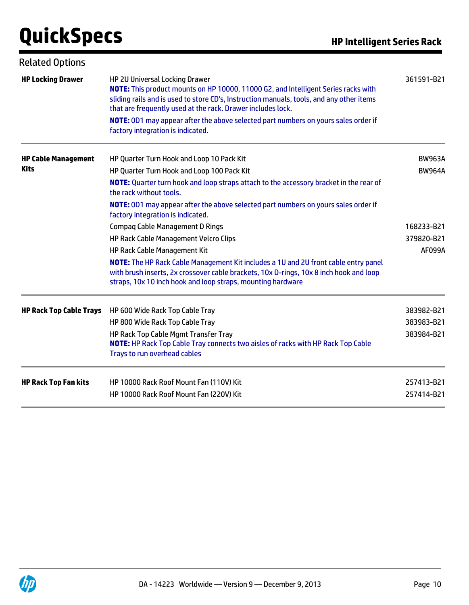| <b>Related Options</b>         |                                                                                                                                                                                                                                                                                                                                                                       |               |
|--------------------------------|-----------------------------------------------------------------------------------------------------------------------------------------------------------------------------------------------------------------------------------------------------------------------------------------------------------------------------------------------------------------------|---------------|
| <b>HP Locking Drawer</b>       | HP 2U Universal Locking Drawer<br>NOTE: This product mounts on HP 10000, 11000 G2, and Intelligent Series racks with<br>sliding rails and is used to store CD's, Instruction manuals, tools, and any other items<br>that are frequently used at the rack. Drawer includes lock.<br>NOTE: 0D1 may appear after the above selected part numbers on yours sales order if | 361591-B21    |
|                                | factory integration is indicated.                                                                                                                                                                                                                                                                                                                                     |               |
| <b>HP Cable Management</b>     | HP Quarter Turn Hook and Loop 10 Pack Kit                                                                                                                                                                                                                                                                                                                             | <b>BW963A</b> |
| <b>Kits</b>                    | HP Quarter Turn Hook and Loop 100 Pack Kit                                                                                                                                                                                                                                                                                                                            | <b>BW964A</b> |
|                                | NOTE: Quarter turn hook and loop straps attach to the accessory bracket in the rear of<br>the rack without tools.                                                                                                                                                                                                                                                     |               |
|                                | NOTE: 0D1 may appear after the above selected part numbers on yours sales order if<br>factory integration is indicated.                                                                                                                                                                                                                                               |               |
|                                | <b>Compag Cable Management D Rings</b>                                                                                                                                                                                                                                                                                                                                | 168233-B21    |
|                                | HP Rack Cable Management Velcro Clips                                                                                                                                                                                                                                                                                                                                 | 379820-B21    |
|                                | HP Rack Cable Management Kit                                                                                                                                                                                                                                                                                                                                          | <b>AF099A</b> |
|                                | NOTE: The HP Rack Cable Management Kit includes a 1U and 2U front cable entry panel<br>with brush inserts, 2x crossover cable brackets, 10x D-rings, 10x 8 inch hook and loop<br>straps, 10x 10 inch hook and loop straps, mounting hardware                                                                                                                          |               |
| <b>HP Rack Top Cable Trays</b> | HP 600 Wide Rack Top Cable Tray                                                                                                                                                                                                                                                                                                                                       | 383982-B21    |
|                                | HP 800 Wide Rack Top Cable Tray                                                                                                                                                                                                                                                                                                                                       | 383983-B21    |
|                                | HP Rack Top Cable Mgmt Transfer Tray<br><b>NOTE:</b> HP Rack Top Cable Tray connects two aisles of racks with HP Rack Top Cable<br>Trays to run overhead cables                                                                                                                                                                                                       | 383984-B21    |
| <b>HP Rack Top Fan kits</b>    | HP 10000 Rack Roof Mount Fan (110V) Kit                                                                                                                                                                                                                                                                                                                               | 257413-B21    |
|                                | HP 10000 Rack Roof Mount Fan (220V) Kit                                                                                                                                                                                                                                                                                                                               | 257414-B21    |

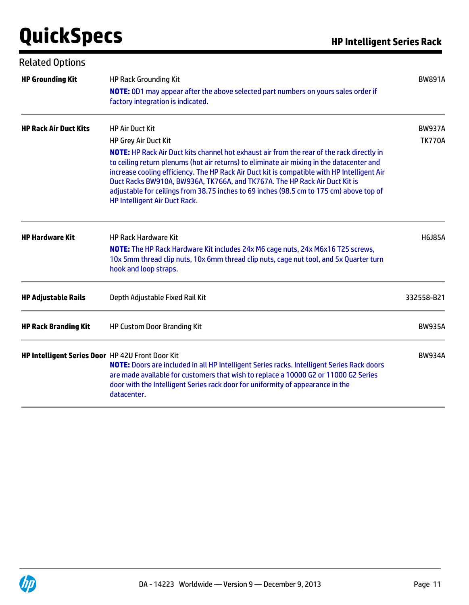| <b>Related Options</b>                           |                                                                                                                                                                                                                                                                                                                                                                                                    |               |
|--------------------------------------------------|----------------------------------------------------------------------------------------------------------------------------------------------------------------------------------------------------------------------------------------------------------------------------------------------------------------------------------------------------------------------------------------------------|---------------|
| <b>HP Grounding Kit</b>                          | <b>HP Rack Grounding Kit</b><br><b>NOTE:</b> 0D1 may appear after the above selected part numbers on yours sales order if<br>factory integration is indicated.                                                                                                                                                                                                                                     | <b>BW891A</b> |
| <b>HP Rack Air Duct Kits</b>                     | <b>HP Air Duct Kit</b>                                                                                                                                                                                                                                                                                                                                                                             | <b>BW937A</b> |
|                                                  | HP Grey Air Duct Kit<br>NOTE: HP Rack Air Duct kits channel hot exhaust air from the rear of the rack directly in                                                                                                                                                                                                                                                                                  | <b>TK770A</b> |
|                                                  | to ceiling return plenums (hot air returns) to eliminate air mixing in the datacenter and<br>increase cooling efficiency. The HP Rack Air Duct kit is compatible with HP Intelligent Air<br>Duct Racks BW910A, BW936A, TK766A, and TK767A. The HP Rack Air Duct Kit is<br>adjustable for ceilings from 38.75 inches to 69 inches (98.5 cm to 175 cm) above top of<br>HP Intelligent Air Duct Rack. |               |
| <b>HP Hardware Kit</b>                           | <b>HP Rack Hardware Kit</b><br>NOTE: The HP Rack Hardware Kit includes 24x M6 cage nuts, 24x M6x16 T25 screws,<br>10x 5mm thread clip nuts, 10x 6mm thread clip nuts, cage nut tool, and 5x Quarter turn<br>hook and loop straps.                                                                                                                                                                  | <b>H6J85A</b> |
| <b>HP Adjustable Rails</b>                       | Depth Adjustable Fixed Rail Kit                                                                                                                                                                                                                                                                                                                                                                    | 332558-B21    |
| <b>HP Rack Branding Kit</b>                      | <b>HP Custom Door Branding Kit</b>                                                                                                                                                                                                                                                                                                                                                                 | <b>BW935A</b> |
| HP Intelligent Series Door HP 42U Front Door Kit | NOTE: Doors are included in all HP Intelligent Series racks. Intelligent Series Rack doors<br>are made available for customers that wish to replace a 10000 G2 or 11000 G2 Series<br>door with the Intelligent Series rack door for uniformity of appearance in the<br>datacenter.                                                                                                                 | <b>BW934A</b> |

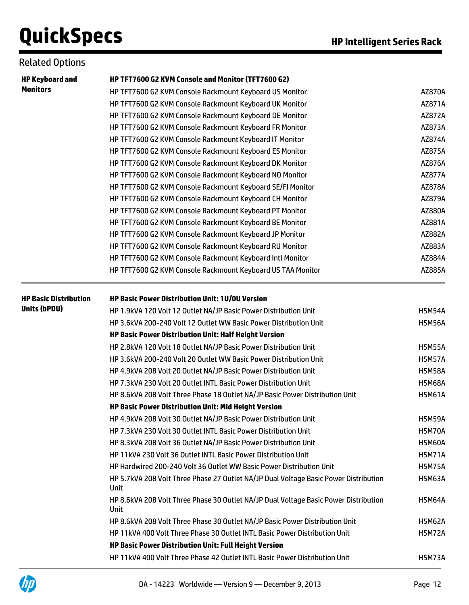### Related Options

| <b>HP Keyboard and</b>       | HP TFT7600 G2 KVM Console and Monitor (TFT7600 G2)                                           |               |
|------------------------------|----------------------------------------------------------------------------------------------|---------------|
| <b>Monitors</b>              | HP TFT7600 G2 KVM Console Rackmount Keyboard US Monitor                                      | AZ870A        |
|                              | HP TFT7600 G2 KVM Console Rackmount Keyboard UK Monitor                                      | AZ871A        |
|                              | HP TFT7600 G2 KVM Console Rackmount Keyboard DE Monitor                                      | AZ872A        |
|                              | HP TFT7600 G2 KVM Console Rackmount Keyboard FR Monitor                                      | AZ873A        |
|                              | HP TFT7600 G2 KVM Console Rackmount Keyboard IT Monitor                                      | AZ874A        |
|                              | HP TFT7600 G2 KVM Console Rackmount Keyboard ES Monitor                                      | AZ875A        |
|                              | HP TFT7600 G2 KVM Console Rackmount Keyboard DK Monitor                                      | AZ876A        |
|                              | HP TFT7600 G2 KVM Console Rackmount Keyboard NO Monitor                                      | AZ877A        |
|                              | HP TFT7600 G2 KVM Console Rackmount Keyboard SE/FI Monitor                                   | AZ878A        |
|                              | HP TFT7600 G2 KVM Console Rackmount Keyboard CH Monitor                                      | AZ879A        |
|                              | HP TFT7600 G2 KVM Console Rackmount Keyboard PT Monitor                                      | AZ880A        |
|                              | HP TFT7600 G2 KVM Console Rackmount Keyboard BE Monitor                                      | AZ881A        |
|                              | HP TFT7600 G2 KVM Console Rackmount Keyboard JP Monitor                                      | AZ882A        |
|                              | HP TFT7600 G2 KVM Console Rackmount Keyboard RU Monitor                                      | AZ883A        |
|                              | HP TFT7600 G2 KVM Console Rackmount Keyboard Intl Monitor                                    | AZ884A        |
|                              | HP TFT7600 G2 KVM Console Rackmount Keyboard US TAA Monitor                                  | AZ885A        |
| <b>HP Basic Distribution</b> | <b>HP Basic Power Distribution Unit: 1U/0U Version</b>                                       |               |
| <b>Units (bPDU)</b>          | HP 1.9kVA 120 Volt 12 Outlet NA/JP Basic Power Distribution Unit                             | <b>H5M54A</b> |
|                              | HP 3.6kVA 200-240 Volt 12 Outlet WW Basic Power Distribution Unit                            | <b>H5M56A</b> |
|                              | HP Basic Power Distribution Unit: Half Height Version                                        |               |
|                              | HP 2.8kVA 120 Volt 18 Outlet NA/JP Basic Power Distribution Unit                             | <b>H5M55A</b> |
|                              | HP 3.6kVA 200-240 Volt 20 Outlet WW Basic Power Distribution Unit                            | <b>H5M57A</b> |
|                              | HP 4.9kVA 208 Volt 20 Outlet NA/JP Basic Power Distribution Unit                             | <b>H5M58A</b> |
|                              | HP 7.3kVA 230 Volt 20 Outlet INTL Basic Power Distribution Unit                              | <b>H5M68A</b> |
|                              | HP 8.6kVA 208 Volt Three Phase 18 Outlet NA/JP Basic Power Distribution Unit                 | <b>H5M61A</b> |
|                              | HP Basic Power Distribution Unit: Mid Height Version                                         |               |
|                              | HP 4.9kVA 208 Volt 30 Outlet NA/JP Basic Power Distribution Unit                             | <b>H5M59A</b> |
|                              | HP 7.3kVA 230 Volt 30 Outlet INTL Basic Power Distribution Unit                              | <b>H5M70A</b> |
|                              | HP 8.3kVA 208 Volt 36 Outlet NA/JP Basic Power Distribution Unit                             | <b>H5M60A</b> |
|                              | HP 11kVA 230 Volt 36 Outlet INTL Basic Power Distribution Unit                               | <b>H5M71A</b> |
|                              | HP Hardwired 200-240 Volt 36 Outlet WW Basic Power Distribution Unit                         | <b>H5M75A</b> |
|                              | HP 5.7kVA 208 Volt Three Phase 27 Outlet NA/JP Dual Voltage Basic Power Distribution<br>Unit | <b>H5M63A</b> |
|                              | HP 8.6kVA 208 Volt Three Phase 30 Outlet NA/JP Dual Voltage Basic Power Distribution<br>Unit | <b>H5M64A</b> |
|                              | HP 8.6kVA 208 Volt Three Phase 30 Outlet NA/JP Basic Power Distribution Unit                 | <b>H5M62A</b> |
|                              | HP 11kVA 400 Volt Three Phase 30 Outlet INTL Basic Power Distribution Unit                   | <b>H5M72A</b> |
|                              | HP Basic Power Distribution Unit: Full Height Version                                        |               |
|                              | HP 11kVA 400 Volt Three Phase 42 Outlet INTL Basic Power Distribution Unit                   | <b>H5M73A</b> |

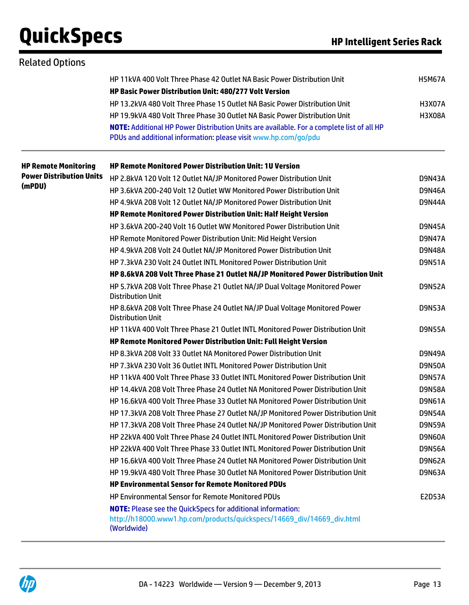| <b>Related Options</b>          |                                                                                                                                                              |               |
|---------------------------------|--------------------------------------------------------------------------------------------------------------------------------------------------------------|---------------|
|                                 | HP 11kVA 400 Volt Three Phase 42 Outlet NA Basic Power Distribution Unit<br><b>HP Basic Power Distribution Unit: 480/277 Volt Version</b>                    | <b>H5M67A</b> |
|                                 | HP 13.2kVA 480 Volt Three Phase 15 Outlet NA Basic Power Distribution Unit                                                                                   | <b>H3X07A</b> |
|                                 | HP 19.9kVA 480 Volt Three Phase 30 Outlet NA Basic Power Distribution Unit                                                                                   | <b>H3X08A</b> |
|                                 | NOTE: Additional HP Power Distribution Units are available. For a complete list of all HP<br>PDUs and additional information: please visit www.hp.com/go/pdu |               |
| <b>HP Remote Monitoring</b>     | <b>HP Remote Monitored Power Distribution Unit: 1U Version</b>                                                                                               |               |
| <b>Power Distribution Units</b> | HP 2.8kVA 120 Volt 12 Outlet NA/JP Monitored Power Distribution Unit                                                                                         | <b>D9N43A</b> |
| (mPDU)                          | HP 3.6kVA 200-240 Volt 12 Outlet WW Monitored Power Distribution Unit                                                                                        | <b>D9N46A</b> |
|                                 | HP 4.9kVA 208 Volt 12 Outlet NA/JP Monitored Power Distribution Unit                                                                                         | <b>D9N44A</b> |
|                                 | HP Remote Monitored Power Distribution Unit: Half Height Version                                                                                             |               |
|                                 | HP 3.6kVA 200-240 Volt 16 Outlet WW Monitored Power Distribution Unit                                                                                        | <b>D9N45A</b> |
|                                 | HP Remote Monitored Power Distribution Unit: Mid Height Version                                                                                              | <b>D9N47A</b> |
|                                 | HP 4.9kVA 208 Volt 24 Outlet NA/JP Monitored Power Distribution Unit                                                                                         | <b>D9N48A</b> |
|                                 | HP 7.3kVA 230 Volt 24 Outlet INTL Monitored Power Distribution Unit                                                                                          | <b>D9N51A</b> |
|                                 | HP 8.6kVA 208 Volt Three Phase 21 Outlet NA/JP Monitored Power Distribution Unit                                                                             |               |
|                                 | HP 5.7kVA 208 Volt Three Phase 21 Outlet NA/JP Dual Voltage Monitored Power<br><b>Distribution Unit</b>                                                      | <b>D9N52A</b> |
|                                 | HP 8.6kVA 208 Volt Three Phase 24 Outlet NA/JP Dual Voltage Monitored Power<br><b>Distribution Unit</b>                                                      | <b>D9N53A</b> |
|                                 | HP 11kVA 400 Volt Three Phase 21 Outlet INTL Monitored Power Distribution Unit                                                                               | <b>D9N55A</b> |
|                                 | HP Remote Monitored Power Distribution Unit: Full Height Version                                                                                             |               |
|                                 | HP 8.3kVA 208 Volt 33 Outlet NA Monitored Power Distribution Unit                                                                                            | <b>D9N49A</b> |
|                                 | HP 7.3kVA 230 Volt 36 Outlet INTL Monitored Power Distribution Unit                                                                                          | <b>D9N50A</b> |
|                                 | HP 11kVA 400 Volt Three Phase 33 Outlet INTL Monitored Power Distribution Unit                                                                               | <b>D9N57A</b> |
|                                 | HP 14.4kVA 208 Volt Three Phase 24 Outlet NA Monitored Power Distribution Unit                                                                               | <b>D9N58A</b> |
|                                 | HP 16.6kVA 400 Volt Three Phase 33 Outlet NA Monitored Power Distribution Unit                                                                               | <b>D9N61A</b> |
|                                 | HP 17.3kVA 208 Volt Three Phase 27 Outlet NA/JP Monitored Power Distribution Unit                                                                            | <b>D9N54A</b> |
|                                 | HP 17.3kVA 208 Volt Three Phase 24 Outlet NA/JP Monitored Power Distribution Unit                                                                            | <b>D9N59A</b> |
|                                 | HP 22kVA 400 Volt Three Phase 24 Outlet INTL Monitored Power Distribution Unit                                                                               | D9N60A        |
|                                 | HP 22kVA 400 Volt Three Phase 33 Outlet INTL Monitored Power Distribution Unit                                                                               | <b>D9N56A</b> |
|                                 | HP 16.6kVA 400 Volt Three Phase 24 Outlet NA Monitored Power Distribution Unit                                                                               | D9N62A        |
|                                 | HP 19.9kVA 480 Volt Three Phase 30 Outlet NA Monitored Power Distribution Unit                                                                               | <b>D9N63A</b> |
|                                 | <b>HP Environmental Sensor for Remote Monitored PDUs</b>                                                                                                     |               |
|                                 | <b>HP Environmental Sensor for Remote Monitored PDUs</b>                                                                                                     | <b>E2D53A</b> |
|                                 | <b>NOTE:</b> Please see the QuickSpecs for additional information:                                                                                           |               |
|                                 | http://h18000.www1.hp.com/products/quickspecs/14669_div/14669_div.html<br>(Worldwide)                                                                        |               |

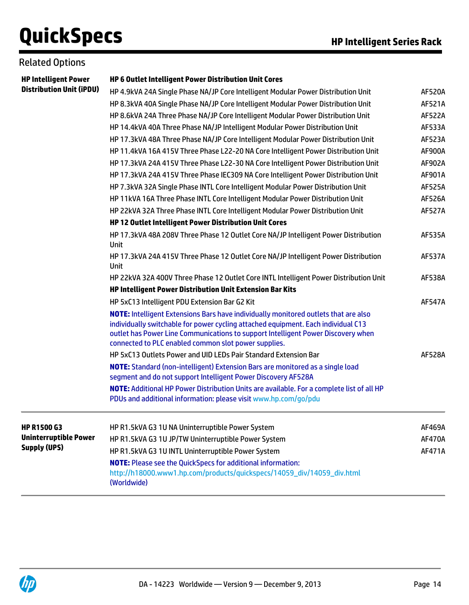### Related Options

| <b>Distribution Unit (iPDU)</b> |                                                                                                                                                                                                                                                                                                                             |               |
|---------------------------------|-----------------------------------------------------------------------------------------------------------------------------------------------------------------------------------------------------------------------------------------------------------------------------------------------------------------------------|---------------|
|                                 | HP 4.9kVA 24A Single Phase NA/JP Core Intelligent Modular Power Distribution Unit                                                                                                                                                                                                                                           | <b>AF520A</b> |
|                                 | HP 8.3kVA 40A Single Phase NA/JP Core Intelligent Modular Power Distribution Unit                                                                                                                                                                                                                                           | <b>AF521A</b> |
|                                 | HP 8.6kVA 24A Three Phase NA/JP Core Intelligent Modular Power Distribution Unit                                                                                                                                                                                                                                            | <b>AF522A</b> |
|                                 | HP 14.4kVA 40A Three Phase NA/JP Intelligent Modular Power Distribution Unit                                                                                                                                                                                                                                                | <b>AF533A</b> |
|                                 | HP 17.3kVA 48A Three Phase NA/JP Core Intelligent Modular Power Distribution Unit                                                                                                                                                                                                                                           | AF523A        |
|                                 | HP 11.4kVA 16A 415V Three Phase L22-20 NA Core Intelligent Power Distribution Unit                                                                                                                                                                                                                                          | AF900A        |
|                                 | HP 17.3kVA 24A 415V Three Phase L22-30 NA Core Intelligent Power Distribution Unit                                                                                                                                                                                                                                          | AF902A        |
|                                 | HP 17.3kVA 24A 415V Three Phase IEC309 NA Core Intelligent Power Distribution Unit                                                                                                                                                                                                                                          | AF901A        |
|                                 | HP 7.3kVA 32A Single Phase INTL Core Intelligent Modular Power Distribution Unit                                                                                                                                                                                                                                            | <b>AF525A</b> |
|                                 | HP 11kVA 16A Three Phase INTL Core Intelligent Modular Power Distribution Unit                                                                                                                                                                                                                                              | <b>AF526A</b> |
|                                 | HP 22kVA 32A Three Phase INTL Core Intelligent Modular Power Distribution Unit                                                                                                                                                                                                                                              | <b>AF527A</b> |
|                                 | HP 12 Outlet Intelligent Power Distribution Unit Cores                                                                                                                                                                                                                                                                      |               |
|                                 | HP 17.3kVA 48A 208V Three Phase 12 Outlet Core NA/JP Intelligent Power Distribution<br>Unit                                                                                                                                                                                                                                 | AF535A        |
|                                 | HP 17.3kVA 24A 415V Three Phase 12 Outlet Core NA/JP Intelligent Power Distribution<br><b>Unit</b>                                                                                                                                                                                                                          | <b>AF537A</b> |
|                                 | HP 22kVA 32A 400V Three Phase 12 Outlet Core INTL Intelligent Power Distribution Unit                                                                                                                                                                                                                                       | <b>AF538A</b> |
|                                 | HP Intelligent Power Distribution Unit Extension Bar Kits                                                                                                                                                                                                                                                                   |               |
|                                 | HP 5xC13 Intelligent PDU Extension Bar G2 Kit                                                                                                                                                                                                                                                                               | <b>AF547A</b> |
|                                 | <b>NOTE:</b> Intelligent Extensions Bars have individually monitored outlets that are also<br>individually switchable for power cycling attached equipment. Each individual C13<br>outlet has Power Line Communications to support Intelligent Power Discovery when<br>connected to PLC enabled common slot power supplies. |               |
|                                 | HP 5xC13 Outlets Power and UID LEDs Pair Standard Extension Bar                                                                                                                                                                                                                                                             | <b>AF528A</b> |
|                                 | <b>NOTE:</b> Standard (non-intelligent) Extension Bars are monitored as a single load<br>segment and do not support Intelligent Power Discovery AF528A                                                                                                                                                                      |               |
|                                 | NOTE: Additional HP Power Distribution Units are available. For a complete list of all HP                                                                                                                                                                                                                                   |               |
|                                 | PDUs and additional information: please visit www.hp.com/go/pdu                                                                                                                                                                                                                                                             |               |
| <b>HP R1500 G3</b>              | HP R1.5kVA G3 1U NA Uninterruptible Power System                                                                                                                                                                                                                                                                            | AF469A        |
| <b>Uninterruptible Power</b>    | HP R1.5kVA G3 1U JP/TW Uninterruptible Power System                                                                                                                                                                                                                                                                         | AF470A        |
| <b>Supply (UPS)</b>             | HP R1.5kVA G3 1U INTL Uninterruptible Power System                                                                                                                                                                                                                                                                          | AF471A        |
|                                 | <b>NOTE:</b> Please see the QuickSpecs for additional information:<br>http://h18000.www1.hp.com/products/quickspecs/14059_div/14059_div.html<br>(Worldwide)                                                                                                                                                                 |               |

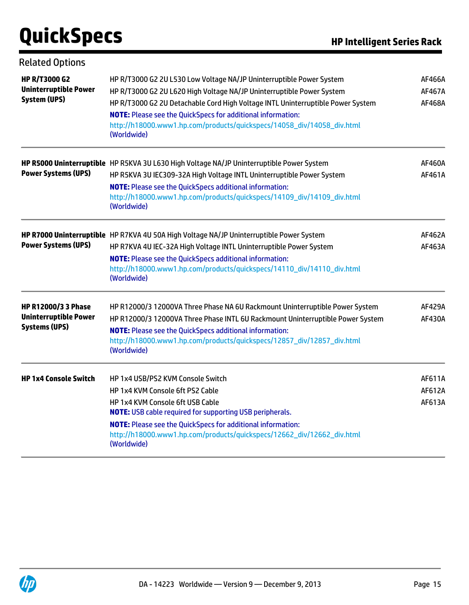| <b>Related Options</b>                                                             |                                                                                                                                                                                                                                                                                                                                                                                                 |                            |
|------------------------------------------------------------------------------------|-------------------------------------------------------------------------------------------------------------------------------------------------------------------------------------------------------------------------------------------------------------------------------------------------------------------------------------------------------------------------------------------------|----------------------------|
| <b>HP R/T3000 G2</b><br><b>Uninterruptible Power</b><br>System (UPS)               | HP R/T3000 G2 2U L530 Low Voltage NA/JP Uninterruptible Power System<br>HP R/T3000 G2 2U L620 High Voltage NA/JP Uninterruptible Power System<br>HP R/T3000 G2 2U Detachable Cord High Voltage INTL Uninterruptible Power System<br><b>NOTE:</b> Please see the QuickSpecs for additional information:<br>http://h18000.www1.hp.com/products/quickspecs/14058_div/14058_div.html<br>(Worldwide) | AF466A<br>AF467A<br>AF468A |
| <b>Power Systems (UPS)</b>                                                         | HP R5000 Uninterruptible HP R5KVA 3U L630 High Voltage NA/JP Uninterruptible Power System<br>HP R5KVA 3U IEC309-32A High Voltage INTL Uninterruptible Power System<br><b>NOTE:</b> Please see the QuickSpecs additional information:<br>http://h18000.www1.hp.com/products/quickspecs/14109_div/14109_div.html<br>(Worldwide)                                                                   | AF460A<br>AF461A           |
| <b>Power Systems (UPS)</b>                                                         | HP R7000 Uninterruptible HP R7KVA 4U 50A High Voltage NA/JP Uninterruptible Power System<br>HP R7KVA 4U IEC-32A High Voltage INTL Uninterruptible Power System<br><b>NOTE:</b> Please see the QuickSpecs additional information:<br>http://h18000.www1.hp.com/products/quickspecs/14110_div/14110_div.html<br>(Worldwide)                                                                       | AF462A<br>AF463A           |
| <b>HP R12000/3 3 Phase</b><br><b>Uninterruptible Power</b><br><b>Systems (UPS)</b> | HP R12000/3 12000VA Three Phase NA 6U Rackmount Uninterruptible Power System<br>HP R12000/3 12000VA Three Phase INTL 6U Rackmount Uninterruptible Power System<br><b>NOTE:</b> Please see the QuickSpecs additional information:<br>http://h18000.www1.hp.com/products/quickspecs/12857_div/12857_div.html<br>(Worldwide)                                                                       | <b>AF429A</b><br>AF430A    |
| <b>HP 1x4 Console Switch</b>                                                       | HP 1x4 USB/PS2 KVM Console Switch<br>HP 1x4 KVM Console 6ft PS2 Cable<br>HP 1x4 KVM Console 6ft USB Cable<br><b>NOTE:</b> USB cable required for supporting USB peripherals.<br><b>NOTE:</b> Please see the QuickSpecs for additional information:<br>http://h18000.www1.hp.com/products/quickspecs/12662_div/12662_div.html<br>(Worldwide)                                                     | AF611A<br>AF612A<br>AF613A |

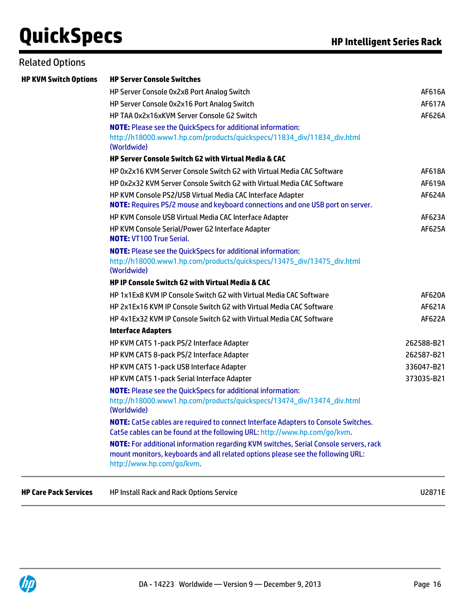### Related Options

| <b>HP KVM Switch Options</b> | <b>HP Server Console Switches</b>                                                                                                                                                                     |               |  |  |  |
|------------------------------|-------------------------------------------------------------------------------------------------------------------------------------------------------------------------------------------------------|---------------|--|--|--|
|                              | HP Server Console 0x2x8 Port Analog Switch                                                                                                                                                            | AF616A        |  |  |  |
|                              | HP Server Console 0x2x16 Port Analog Switch                                                                                                                                                           | AF617A        |  |  |  |
|                              | HP TAA 0x2x16xKVM Server Console G2 Switch                                                                                                                                                            | AF626A        |  |  |  |
|                              | <b>NOTE:</b> Please see the QuickSpecs for additional information:                                                                                                                                    |               |  |  |  |
|                              | http://h18000.www1.hp.com/products/quickspecs/11834_div/11834_div.html<br>(Worldwide)                                                                                                                 |               |  |  |  |
|                              | <b>HP Server Console Switch G2 with Virtual Media &amp; CAC</b>                                                                                                                                       |               |  |  |  |
|                              | HP 0x2x16 KVM Server Console Switch G2 with Virtual Media CAC Software                                                                                                                                | AF618A        |  |  |  |
|                              | HP 0x2x32 KVM Server Console Switch G2 with Virtual Media CAC Software                                                                                                                                | AF619A        |  |  |  |
|                              | HP KVM Console PS2/USB Virtual Media CAC Interface Adapter<br><b>NOTE:</b> Requires PS/2 mouse and keyboard connections and one USB port on server.                                                   | AF624A        |  |  |  |
|                              | HP KVM Console USB Virtual Media CAC Interface Adapter                                                                                                                                                | AF623A        |  |  |  |
|                              | HP KVM Console Serial/Power G2 Interface Adapter<br><b>NOTE: VT100 True Serial.</b>                                                                                                                   | <b>AF625A</b> |  |  |  |
|                              | <b>NOTE:</b> Please see the QuickSpecs for additional information:<br>http://h18000.www1.hp.com/products/quickspecs/13475_div/13475_div.html<br>(Worldwide)                                           |               |  |  |  |
|                              | <b>HP IP Console Switch G2 with Virtual Media &amp; CAC</b>                                                                                                                                           |               |  |  |  |
|                              | HP 1x1Ex8 KVM IP Console Switch G2 with Virtual Media CAC Software                                                                                                                                    | AF620A        |  |  |  |
|                              | HP 2x1Ex16 KVM IP Console Switch G2 with Virtual Media CAC Software                                                                                                                                   | AF621A        |  |  |  |
|                              | HP 4x1Ex32 KVM IP Console Switch G2 with Virtual Media CAC Software                                                                                                                                   | <b>AF622A</b> |  |  |  |
|                              | <b>Interface Adapters</b>                                                                                                                                                                             |               |  |  |  |
|                              | HP KVM CAT5 1-pack PS/2 Interface Adapter                                                                                                                                                             | 262588-B21    |  |  |  |
|                              | HP KVM CAT5 8-pack PS/2 Interface Adapter                                                                                                                                                             | 262587-B21    |  |  |  |
|                              | HP KVM CAT5 1-pack USB Interface Adapter                                                                                                                                                              | 336047-B21    |  |  |  |
|                              | HP KVM CAT5 1-pack Serial Interface Adapter                                                                                                                                                           | 373035-B21    |  |  |  |
|                              | <b>NOTE:</b> Please see the QuickSpecs for additional information:<br>http://h18000.www1.hp.com/products/quickspecs/13474_div/13474_div.html<br>(Worldwide)                                           |               |  |  |  |
|                              | <b>NOTE:</b> Cat5e cables are required to connect Interface Adapters to Console Switches.<br>Cat5e cables can be found at the following URL: http://www.hp.com/go/kvm.                                |               |  |  |  |
|                              | NOTE: For additional information regarding KVM switches, Serial Console servers, rack<br>mount monitors, keyboards and all related options please see the following URL:<br>http://www.hp.com/go/kvm. |               |  |  |  |
| <b>HP Care Pack Services</b> | HP Install Rack and Rack Options Service                                                                                                                                                              | U2871E        |  |  |  |

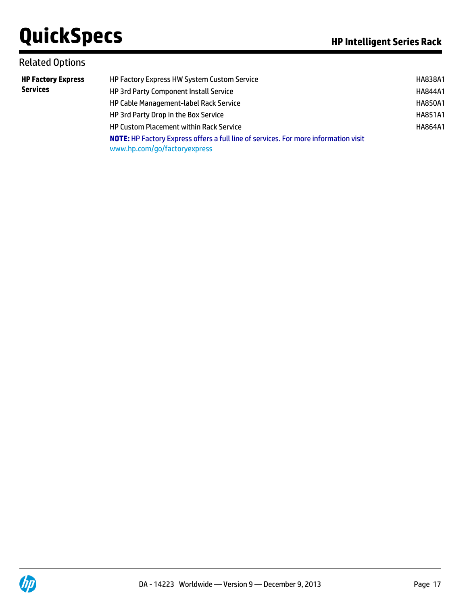### Related Options

| <b>HP Factory Express</b> | HP Factory Express HW System Custom Service                                                                                | HA838A1        |
|---------------------------|----------------------------------------------------------------------------------------------------------------------------|----------------|
| <b>Services</b>           | HP 3rd Party Component Install Service                                                                                     | <b>HA844A1</b> |
|                           | HP Cable Management-label Rack Service                                                                                     | <b>HA850A1</b> |
|                           | HP 3rd Party Drop in the Box Service                                                                                       | <b>HA851A1</b> |
|                           | <b>HP Custom Placement within Rack Service</b>                                                                             | HA864A1        |
|                           | <b>NOTE:</b> HP Factory Express offers a full line of services. For more information visit<br>www.hp.com/go/factoryexpress |                |

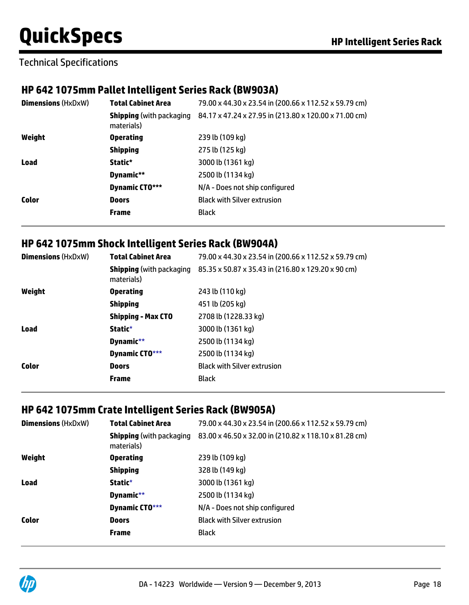### Technical Specifications

### **HP 642 1075mm Pallet Intelligent Series Rack (BW903A)**

| <b>Dimensions (HxDxW)</b> | <b>Total Cabinet Area</b>                     | 79.00 x 44.30 x 23.54 in (200.66 x 112.52 x 59.79 cm) |
|---------------------------|-----------------------------------------------|-------------------------------------------------------|
|                           | <b>Shipping</b> (with packaging<br>materials) | 84.17 x 47.24 x 27.95 in (213.80 x 120.00 x 71.00 cm) |
| Weight                    | <b>Operating</b>                              | 239 lb (109 kg)                                       |
|                           | <b>Shipping</b>                               | 275 lb (125 kg)                                       |
| Load                      | Static*                                       | 3000 lb (1361 kg)                                     |
|                           | Dynamic**                                     | 2500 lb (1134 kg)                                     |
|                           | <b>Dynamic CTO***</b>                         | N/A - Does not ship configured                        |
| Color                     | <b>Doors</b>                                  | <b>Black with Silver extrusion</b>                    |
|                           | <b>Frame</b>                                  | <b>Black</b>                                          |

### **HP 642 1075mm Shock Intelligent Series Rack (BW904A)**

| <b>Dimensions (HxDxW)</b> | <b>Total Cabinet Area</b> | 79.00 x 44.30 x 23.54 in (200.66 x 112.52 x 59.79 cm)                              |
|---------------------------|---------------------------|------------------------------------------------------------------------------------|
|                           | materials)                | <b>Shipping</b> (with packaging 85.35 x 50.87 x 35.43 in (216.80 x 129.20 x 90 cm) |
| Weight                    | <b>Operating</b>          | 243 lb (110 kg)                                                                    |
|                           | <b>Shipping</b>           | 451 lb (205 kg)                                                                    |
|                           | <b>Shipping - Max CTO</b> | 2708 lb (1228.33 kg)                                                               |
| <b>Load</b>               | Static*                   | 3000 lb (1361 kg)                                                                  |
|                           | Dynamic**                 | 2500 lb (1134 kg)                                                                  |
|                           | Dynamic CTO***            | 2500 lb (1134 kg)                                                                  |
| <b>Color</b>              | <b>Doors</b>              | <b>Black with Silver extrusion</b>                                                 |
|                           | <b>Frame</b>              | <b>Black</b>                                                                       |

### **HP 642 1075mm Crate Intelligent Series Rack (BW905A)**

| <b>Dimensions (HxDxW)</b> | <b>Total Cabinet Area</b>                     | 79.00 x 44.30 x 23.54 in (200.66 x 112.52 x 59.79 cm) |
|---------------------------|-----------------------------------------------|-------------------------------------------------------|
|                           | <b>Shipping</b> (with packaging<br>materials) | 83.00 x 46.50 x 32.00 in (210.82 x 118.10 x 81.28 cm) |
| Weight                    | <b>Operating</b>                              | 239 lb (109 kg)                                       |
|                           | <b>Shipping</b>                               | 328 lb (149 kg)                                       |
| <b>Load</b>               | Static*                                       | 3000 lb (1361 kg)                                     |
|                           | Dynamic**                                     | 2500 lb (1134 kg)                                     |
|                           | Dynamic CTO***                                | N/A - Does not ship configured                        |
| <b>Color</b>              | <b>Doors</b>                                  | <b>Black with Silver extrusion</b>                    |
|                           | <b>Frame</b>                                  | <b>Black</b>                                          |

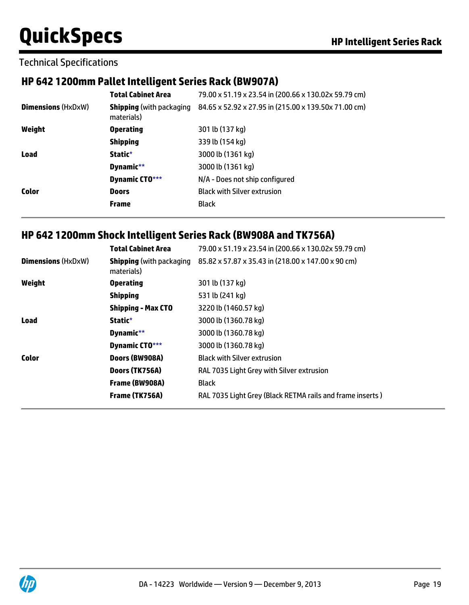### Technical Specifications

### **HP 642 1200mm Pallet Intelligent Series Rack (BW907A)**

|                           | <b>Total Cabinet Area</b>                     | 79.00 x 51.19 x 23.54 in (200.66 x 130.02x 59.79 cm) |
|---------------------------|-----------------------------------------------|------------------------------------------------------|
| <b>Dimensions (HxDxW)</b> | <b>Shipping</b> (with packaging<br>materials) | 84.65 x 52.92 x 27.95 in (215.00 x 139.50x 71.00 cm) |
| Weight                    | <b>Operating</b>                              | 301 lb (137 kg)                                      |
|                           | <b>Shipping</b>                               | 339 lb (154 kg)                                      |
| <b>Load</b>               | Static*                                       | 3000 lb (1361 kg)                                    |
|                           | Dynamic**                                     | 3000 lb (1361 kg)                                    |
|                           | Dynamic CTO***                                | N/A - Does not ship configured                       |
| Color                     | <b>Doors</b>                                  | <b>Black with Silver extrusion</b>                   |
|                           | <b>Frame</b>                                  | <b>Black</b>                                         |

### **HP 642 1200mm Shock Intelligent Series Rack (BW908A and TK756A)**

|                           | <b>Total Cabinet Area</b>                     | 79.00 x 51.19 x 23.54 in (200.66 x 130.02x 59.79 cm)      |
|---------------------------|-----------------------------------------------|-----------------------------------------------------------|
| <b>Dimensions (HxDxW)</b> | <b>Shipping</b> (with packaging<br>materials) | 85.82 x 57.87 x 35.43 in (218.00 x 147.00 x 90 cm)        |
| Weight                    | <b>Operating</b>                              | 301 lb (137 kg)                                           |
|                           | <b>Shipping</b>                               | 531 lb (241 kg)                                           |
|                           | <b>Shipping - Max CTO</b>                     | 3220 lb (1460.57 kg)                                      |
| Load                      | Static*                                       | 3000 lb (1360.78 kg)                                      |
|                           | Dynamic**                                     | 3000 lb (1360.78 kg)                                      |
|                           | Dynamic CTO***                                | 3000 lb (1360.78 kg)                                      |
| Color                     | Doors (BW908A)                                | <b>Black with Silver extrusion</b>                        |
|                           | Doors (TK756A)                                | RAL 7035 Light Grey with Silver extrusion                 |
|                           | Frame (BW908A)                                | <b>Black</b>                                              |
|                           | Frame (TK756A)                                | RAL 7035 Light Grey (Black RETMA rails and frame inserts) |

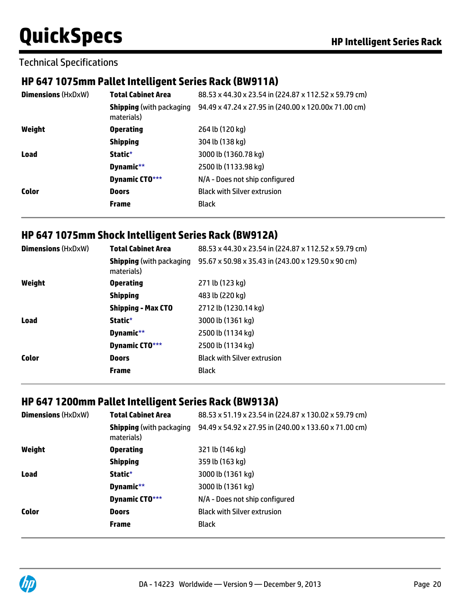Technical Specifications

### **HP 647 1075mm Pallet Intelligent Series Rack (BW911A)**

| <b>Dimensions (HxDxW)</b> | <b>Total Cabinet Area</b> | 88.53 x 44.30 x 23.54 in (224.87 x 112.52 x 59.79 cm)                                 |
|---------------------------|---------------------------|---------------------------------------------------------------------------------------|
|                           | materials)                | <b>Shipping</b> (with packaging 94.49 x 47.24 x 27.95 in (240.00 x 120.00 x 71.00 cm) |
| Weight                    | <b>Operating</b>          | 264 lb (120 kg)                                                                       |
|                           | <b>Shipping</b>           | 304 lb (138 kg)                                                                       |
| <b>Load</b>               | Static*                   | 3000 lb (1360.78 kg)                                                                  |
|                           | Dynamic**                 | 2500 lb (1133.98 kg)                                                                  |
|                           | Dynamic CTO***            | N/A - Does not ship configured                                                        |
| Color                     | <b>Doors</b>              | <b>Black with Silver extrusion</b>                                                    |
|                           | <b>Frame</b>              | <b>Black</b>                                                                          |

### **HP 647 1075mm Shock Intelligent Series Rack (BW912A)**

| <b>Dimensions (HxDxW)</b> | <b>Total Cabinet Area</b>                     | 88.53 x 44.30 x 23.54 in (224.87 x 112.52 x 59.79 cm) |
|---------------------------|-----------------------------------------------|-------------------------------------------------------|
|                           | <b>Shipping</b> (with packaging<br>materials) | 95.67 x 50.98 x 35.43 in (243.00 x 129.50 x 90 cm)    |
| Weight                    | <b>Operating</b>                              | 271 lb (123 kg)                                       |
|                           | <b>Shipping</b>                               | 483 lb (220 kg)                                       |
|                           | <b>Shipping - Max CTO</b>                     | 2712 lb (1230.14 kg)                                  |
| <b>Load</b>               | Static*                                       | 3000 lb (1361 kg)                                     |
|                           | Dynamic**                                     | 2500 lb (1134 kg)                                     |
|                           | Dynamic CTO***                                | 2500 lb (1134 kg)                                     |
| Color                     | <b>Doors</b>                                  | <b>Black with Silver extrusion</b>                    |
|                           | <b>Frame</b>                                  | <b>Black</b>                                          |

### **HP 647 1200mm Pallet Intelligent Series Rack (BW913A)**

| <b>Dimensions (HxDxW)</b> | <b>Total Cabinet Area</b>                     | 88.53 x 51.19 x 23.54 in (224.87 x 130.02 x 59.79 cm) |
|---------------------------|-----------------------------------------------|-------------------------------------------------------|
|                           | <b>Shipping</b> (with packaging<br>materials) | 94.49 x 54.92 x 27.95 in (240.00 x 133.60 x 71.00 cm) |
| Weight                    | <b>Operating</b>                              | 321 lb (146 kg)                                       |
|                           | <b>Shipping</b>                               | 359 lb (163 kg)                                       |
| <b>Load</b>               | Static*                                       | 3000 lb (1361 kg)                                     |
|                           | Dynamic**                                     | 3000 lb (1361 kg)                                     |
|                           | Dynamic CTO***                                | N/A - Does not ship configured                        |
| <b>Color</b>              | <b>Doors</b>                                  | <b>Black with Silver extrusion</b>                    |
|                           | <b>Frame</b>                                  | <b>Black</b>                                          |

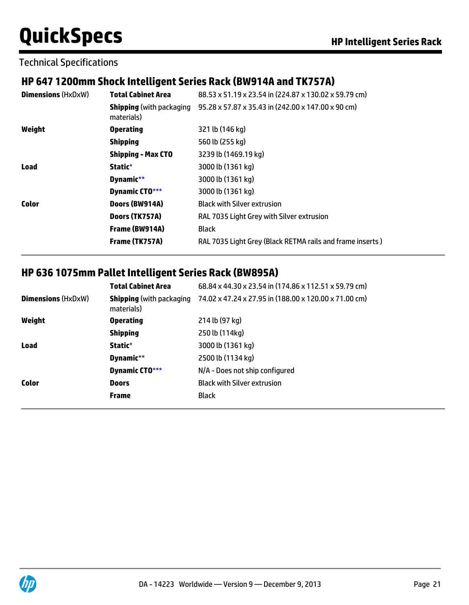Technical Specifications

### **HP 647 1200mm Shock Intelligent Series Rack (BW914A and TK757A)**

| <b>Dimensions (HxDxW)</b> | <b>Total Cabinet Area</b>                     | 88.53 x 51.19 x 23.54 in (224.87 x 130.02 x 59.79 cm)     |
|---------------------------|-----------------------------------------------|-----------------------------------------------------------|
|                           | <b>Shipping</b> (with packaging<br>materials) | 95.28 x 57.87 x 35.43 in (242.00 x 147.00 x 90 cm)        |
| Weight                    | <b>Operating</b>                              | 321 lb (146 kg)                                           |
|                           | <b>Shipping</b>                               | 560 lb (255 kg)                                           |
|                           | <b>Shipping - Max CTO</b>                     | 3239 lb (1469.19 kg)                                      |
| <b>Load</b>               | Static*                                       | 3000 lb (1361 kg)                                         |
|                           | Dynamic**                                     | 3000 lb (1361 kg)                                         |
|                           | Dynamic CTO***                                | 3000 lb (1361 kg)                                         |
| <b>Color</b>              | Doors (BW914A)                                | <b>Black with Silver extrusion</b>                        |
|                           | Doors (TK757A)                                | RAL 7035 Light Grey with Silver extrusion                 |
|                           | Frame (BW914A)                                | <b>Black</b>                                              |
|                           | Frame (TK757A)                                | RAL 7035 Light Grey (Black RETMA rails and frame inserts) |

### **HP 636 1075mm Pallet Intelligent Series Rack (BW895A)**

|                           | <b>Total Cabinet Area</b>                     | 68.84 x 44.30 x 23.54 in (174.86 x 112.51 x 59.79 cm) |
|---------------------------|-----------------------------------------------|-------------------------------------------------------|
| <b>Dimensions (HxDxW)</b> | <b>Shipping</b> (with packaging<br>materials) | 74.02 x 47.24 x 27.95 in (188.00 x 120.00 x 71.00 cm) |
| Weight                    | <b>Operating</b>                              | 214 lb (97 kg)                                        |
|                           | <b>Shipping</b>                               | 250 lb (114kg)                                        |
| Load                      | Static*                                       | 3000 lb (1361 kg)                                     |
|                           | Dynamic**                                     | 2500 lb (1134 kg)                                     |
|                           | Dynamic CTO***                                | N/A - Does not ship configured                        |
| <b>Color</b>              | <b>Doors</b>                                  | <b>Black with Silver extrusion</b>                    |
|                           | <b>Frame</b>                                  | Black                                                 |

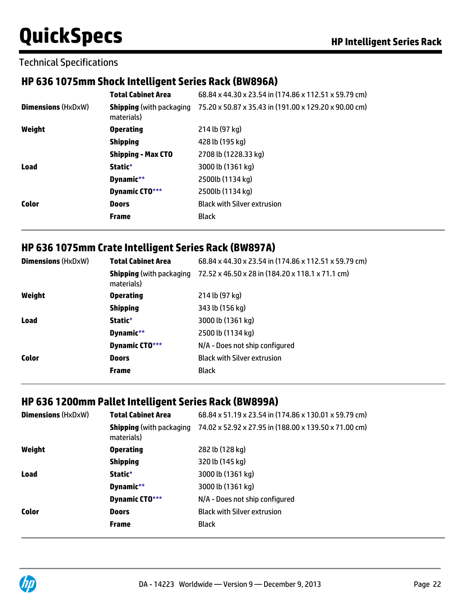Technical Specifications

### **HP 636 1075mm Shock Intelligent Series Rack (BW896A)**

| <b>Total Cabinet Area</b>                     | 68.84 x 44.30 x 23.54 in (174.86 x 112.51 x 59.79 cm) |
|-----------------------------------------------|-------------------------------------------------------|
| <b>Shipping</b> (with packaging<br>materials) | 75.20 x 50.87 x 35.43 in (191.00 x 129.20 x 90.00 cm) |
| <b>Operating</b>                              | 214 lb (97 kg)                                        |
| <b>Shipping</b>                               | 428 lb (195 kg)                                       |
| <b>Shipping - Max CTO</b>                     | 2708 lb (1228.33 kg)                                  |
| Static*                                       | 3000 lb (1361 kg)                                     |
| Dynamic**                                     | 2500lb (1134 kg)                                      |
| Dynamic CTO***                                | 2500lb (1134 kg)                                      |
| <b>Doors</b>                                  | <b>Black with Silver extrusion</b>                    |
| <b>Frame</b>                                  | <b>Black</b>                                          |
|                                               |                                                       |

### **HP 636 1075mm Crate Intelligent Series Rack (BW897A)**

| <b>Dimensions (HxDxW)</b> | <b>Total Cabinet Area</b>                     | 68.84 x 44.30 x 23.54 in (174.86 x 112.51 x 59.79 cm) |
|---------------------------|-----------------------------------------------|-------------------------------------------------------|
|                           | <b>Shipping</b> (with packaging<br>materials) | 72.52 x 46.50 x 28 in (184.20 x 118.1 x 71.1 cm)      |
| Weight                    | <b>Operating</b>                              | 214 lb (97 kg)                                        |
|                           | <b>Shipping</b>                               | 343 lb (156 kg)                                       |
| <b>Load</b>               | Static*                                       | 3000 lb (1361 kg)                                     |
|                           | Dynamic**                                     | 2500 lb (1134 kg)                                     |
|                           | Dynamic CTO***                                | N/A - Does not ship configured                        |
| Color                     | <b>Doors</b>                                  | <b>Black with Silver extrusion</b>                    |
|                           | <b>Frame</b>                                  | <b>Black</b>                                          |

### **HP 636 1200mm Pallet Intelligent Series Rack (BW899A)**

| <b>Dimensions (HxDxW)</b> | <b>Total Cabinet Area</b>                     | 68.84 x 51.19 x 23.54 in (174.86 x 130.01 x 59.79 cm) |
|---------------------------|-----------------------------------------------|-------------------------------------------------------|
|                           | <b>Shipping</b> (with packaging<br>materials) | 74.02 x 52.92 x 27.95 in (188.00 x 139.50 x 71.00 cm) |
| Weight                    | <b>Operating</b>                              | 282 lb (128 kg)                                       |
|                           | <b>Shipping</b>                               | 320 lb (145 kg)                                       |
| <b>Load</b>               | Static*                                       | 3000 lb (1361 kg)                                     |
|                           | Dynamic**                                     | 3000 lb (1361 kg)                                     |
|                           | Dynamic CTO***                                | N/A - Does not ship configured                        |
| <b>Color</b>              | <b>Doors</b>                                  | <b>Black with Silver extrusion</b>                    |
|                           | <b>Frame</b>                                  | <b>Black</b>                                          |

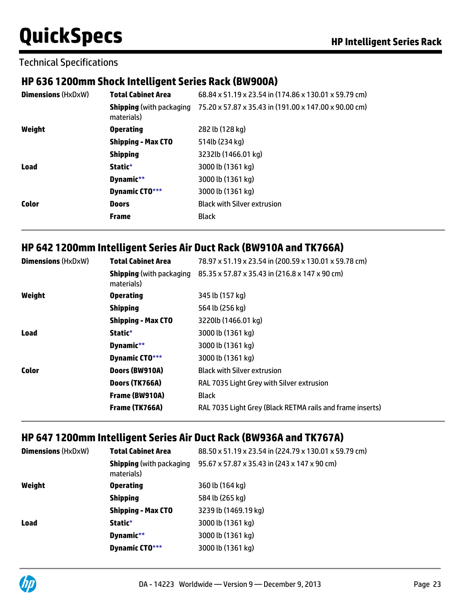Technical Specifications

### **HP 636 1200mm Shock Intelligent Series Rack (BW900A)**

| <b>Dimensions (HxDxW)</b> | <b>Total Cabinet Area</b>                     | 68.84 x 51.19 x 23.54 in (174.86 x 130.01 x 59.79 cm) |
|---------------------------|-----------------------------------------------|-------------------------------------------------------|
|                           | <b>Shipping</b> (with packaging<br>materials) | 75.20 x 57.87 x 35.43 in (191.00 x 147.00 x 90.00 cm) |
| Weight                    | <b>Operating</b>                              | 282 lb (128 kg)                                       |
|                           | <b>Shipping - Max CTO</b>                     | 514lb (234 kg)                                        |
|                           | <b>Shipping</b>                               | 3232lb (1466.01 kg)                                   |
| <b>Load</b>               | Static*                                       | 3000 lb (1361 kg)                                     |
|                           | Dynamic**                                     | 3000 lb (1361 kg)                                     |
|                           | Dynamic CTO***                                | 3000 lb (1361 kg)                                     |
| Color                     | <b>Doors</b>                                  | <b>Black with Silver extrusion</b>                    |
|                           | <b>Frame</b>                                  | <b>Black</b>                                          |

### **HP 642 1200mm Intelligent Series Air Duct Rack (BW910A and TK766A)**

| <b>Dimensions (HxDxW)</b> | Total Cabinet Area                            | 78.97 x 51.19 x 23.54 in (200.59 x 130.01 x 59.78 cm)     |
|---------------------------|-----------------------------------------------|-----------------------------------------------------------|
|                           | <b>Shipping</b> (with packaging<br>materials) | 85.35 x 57.87 x 35.43 in (216.8 x 147 x 90 cm)            |
| Weight                    | <b>Operating</b>                              | 345 lb (157 kg)                                           |
|                           | <b>Shipping</b>                               | 564 lb (256 kg)                                           |
|                           | <b>Shipping - Max CTO</b>                     | 3220lb (1466.01 kg)                                       |
| Load                      | Static*                                       | 3000 lb (1361 kg)                                         |
|                           | Dynamic**                                     | 3000 lb (1361 kg)                                         |
|                           | Dynamic CTO***                                | 3000 lb (1361 kg)                                         |
| <b>Color</b>              | Doors (BW910A)                                | <b>Black with Silver extrusion</b>                        |
|                           | Doors (TK766A)                                | RAL 7035 Light Grey with Silver extrusion                 |
|                           | Frame (BW910A)                                | <b>Black</b>                                              |
|                           | Frame (TK766A)                                | RAL 7035 Light Grey (Black RETMA rails and frame inserts) |

### **HP 647 1200mm Intelligent Series Air Duct Rack (BW936A and TK767A)**

| <b>Dimensions (HxDxW)</b> | <b>Total Cabinet Area</b>                     | 88.50 x 51.19 x 23.54 in (224.79 x 130.01 x 59.79 cm) |
|---------------------------|-----------------------------------------------|-------------------------------------------------------|
|                           | <b>Shipping</b> (with packaging<br>materials) | 95.67 x 57.87 x 35.43 in (243 x 147 x 90 cm)          |
| Weight                    | <b>Operating</b>                              | 360 lb (164 kg)                                       |
|                           | <b>Shipping</b>                               | 584 lb (265 kg)                                       |
|                           | <b>Shipping - Max CTO</b>                     | 3239 lb (1469.19 kg)                                  |
| <b>Load</b>               | Static*                                       | 3000 lb (1361 kg)                                     |
|                           | Dynamic**                                     | 3000 lb (1361 kg)                                     |
|                           | Dynamic CTO***                                | 3000 lb (1361 kg)                                     |

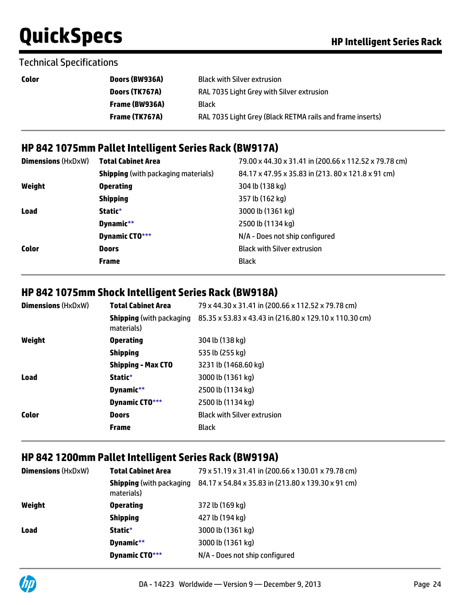### Technical Specifications

| Color | Doors (BW936A) | <b>Black with Silver extrusion</b>                        |
|-------|----------------|-----------------------------------------------------------|
|       | Doors (TK767A) | RAL 7035 Light Grey with Silver extrusion                 |
|       | Frame (BW936A) | Black                                                     |
|       | Frame (TK767A) | RAL 7035 Light Grey (Black RETMA rails and frame inserts) |
|       |                |                                                           |

### **HP 842 1075mm Pallet Intelligent Series Rack (BW917A)**

| <b>Dimensions</b> (HxDxW) | <b>Total Cabinet Area</b>                  | 79.00 x 44.30 x 31.41 in (200.66 x 112.52 x 79.78 cm) |
|---------------------------|--------------------------------------------|-------------------------------------------------------|
|                           | <b>Shipping</b> (with packaging materials) | 84.17 x 47.95 x 35.83 in (213.80 x 121.8 x 91 cm)     |
| Weight                    | <b>Operating</b>                           | 304 lb (138 kg)                                       |
|                           | <b>Shipping</b>                            | 357 lb (162 kg)                                       |
| <b>Load</b>               | Static*                                    | 3000 lb (1361 kg)                                     |
|                           | Dynamic**                                  | 2500 lb (1134 kg)                                     |
|                           | <b>Dynamic CTO***</b>                      | N/A - Does not ship configured                        |
| <b>Color</b>              | <b>Doors</b>                               | <b>Black with Silver extrusion</b>                    |
|                           | <b>Frame</b>                               | <b>Black</b>                                          |

### **HP 842 1075mm Shock Intelligent Series Rack (BW918A)**

| <b>Dimensions (HxDxW)</b> | <b>Total Cabinet Area</b>                     | 79 x 44.30 x 31.41 in (200.66 x 112.52 x 79.78 cm)     |
|---------------------------|-----------------------------------------------|--------------------------------------------------------|
|                           | <b>Shipping</b> (with packaging<br>materials) | 85.35 x 53.83 x 43.43 in (216.80 x 129.10 x 110.30 cm) |
| Weight                    | <b>Operating</b>                              | 304 lb (138 kg)                                        |
|                           | <b>Shipping</b>                               | 535 lb (255 kg)                                        |
|                           | <b>Shipping - Max CTO</b>                     | 3231 lb (1468.60 kg)                                   |
| Load                      | Static*                                       | 3000 lb (1361 kg)                                      |
|                           | Dynamic**                                     | 2500 lb (1134 kg)                                      |
|                           | Dynamic CTO***                                | 2500 lb (1134 kg)                                      |
| Color                     | <b>Doors</b>                                  | <b>Black with Silver extrusion</b>                     |
|                           | <b>Frame</b>                                  | <b>Black</b>                                           |

### **HP 842 1200mm Pallet Intelligent Series Rack (BW919A)**

| <b>Dimensions (HxDxW)</b> | <b>Total Cabinet Area</b>                     | 79 x 51.19 x 31.41 in (200.66 x 130.01 x 79.78 cm) |
|---------------------------|-----------------------------------------------|----------------------------------------------------|
|                           | <b>Shipping</b> (with packaging<br>materials) | 84.17 x 54.84 x 35.83 in (213.80 x 139.30 x 91 cm) |
| Weight                    | <b>Operating</b>                              | 372 lb (169 kg)                                    |
|                           | <b>Shipping</b>                               | 427 lb (194 kg)                                    |
| <b>Load</b>               | Static*                                       | 3000 lb (1361 kg)                                  |
|                           | Dynamic**                                     | 3000 lb (1361 kg)                                  |
|                           | <b>Dynamic CTO***</b>                         | N/A - Does not ship configured                     |

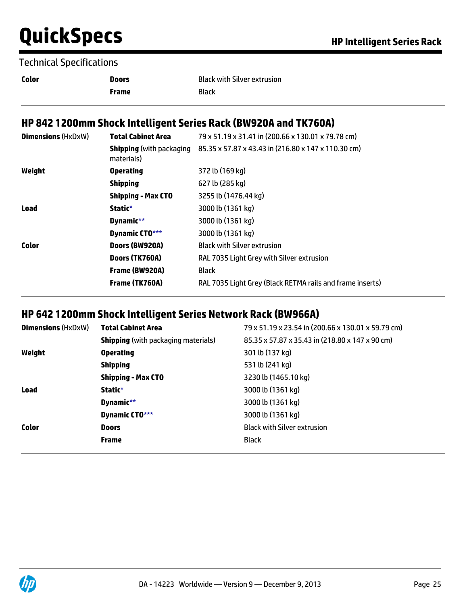#### Technical Specifications

| <b>Color</b> | <b>Doors</b> | <b>Black with Silver extrusion</b> |
|--------------|--------------|------------------------------------|
|              | Frame        | Black                              |

### **HP 842 1200mm Shock Intelligent Series Rack (BW920A and TK760A)**

| <b>Dimensions (HxDxW)</b> | <b>Total Cabinet Area</b>                     | 79 x 51.19 x 31.41 in (200.66 x 130.01 x 79.78 cm)        |
|---------------------------|-----------------------------------------------|-----------------------------------------------------------|
|                           | <b>Shipping</b> (with packaging<br>materials) | 85.35 x 57.87 x 43.43 in (216.80 x 147 x 110.30 cm)       |
| Weight                    | <b>Operating</b>                              | 372 lb (169 kg)                                           |
|                           | <b>Shipping</b>                               | 627 lb (285 kg)                                           |
|                           | <b>Shipping - Max CTO</b>                     | 3255 lb (1476.44 kg)                                      |
| Load                      | Static*                                       | 3000 lb (1361 kg)                                         |
|                           | Dynamic**                                     | 3000 lb (1361 kg)                                         |
|                           | Dynamic CTO***                                | 3000 lb (1361 kg)                                         |
| Color                     | Doors (BW920A)                                | <b>Black with Silver extrusion</b>                        |
|                           | Doors (TK760A)                                | RAL 7035 Light Grey with Silver extrusion                 |
|                           | Frame (BW920A)                                | <b>Black</b>                                              |
|                           | Frame (TK760A)                                | RAL 7035 Light Grey (Black RETMA rails and frame inserts) |

### **HP 642 1200mm Shock Intelligent Series Network Rack (BW966A)**

| <b>Dimensions (HxDxW)</b> | <b>Total Cabinet Area</b>                  | 79 x 51.19 x 23.54 in (200.66 x 130.01 x 59.79 cm) |
|---------------------------|--------------------------------------------|----------------------------------------------------|
|                           | <b>Shipping</b> (with packaging materials) | 85.35 x 57.87 x 35.43 in (218.80 x 147 x 90 cm)    |
| Weight                    | <b>Operating</b>                           | 301 lb (137 kg)                                    |
|                           | <b>Shipping</b>                            | 531 lb (241 kg)                                    |
|                           | <b>Shipping - Max CTO</b>                  | 3230 lb (1465.10 kg)                               |
| <b>Load</b>               | Static*                                    | 3000 lb (1361 kg)                                  |
|                           | Dynamic**                                  | 3000 lb (1361 kg)                                  |
|                           | Dynamic CTO***                             | 3000 lb (1361 kg)                                  |
| <b>Color</b>              | <b>Doors</b>                               | <b>Black with Silver extrusion</b>                 |
|                           | <b>Frame</b>                               | <b>Black</b>                                       |